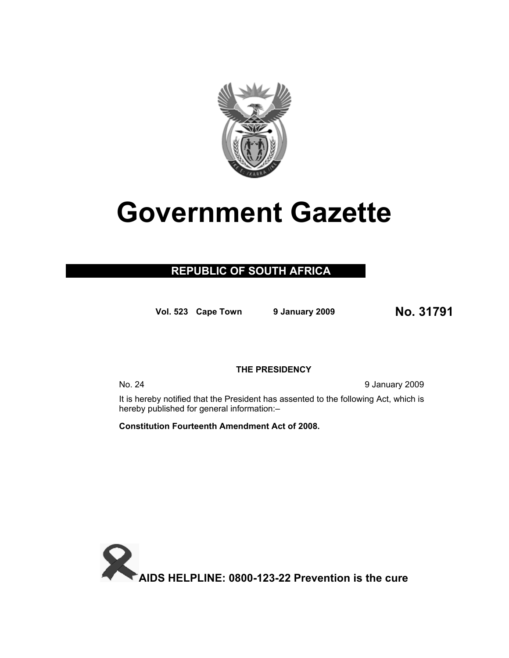

# **Government Gazette**

### **REPUBLIC OF SOUTH AFRICA**

**Vol. 523 Cape Town 9 January 200<sup>9</sup> No. 31791**

#### **THE PRESIDENCY**

No. 24 9 January 2009

It is hereby notified that the President has assented to the following Act, which is hereby published for general information:–

**Constitution Fourteenth Amendment Act of 2008.** 

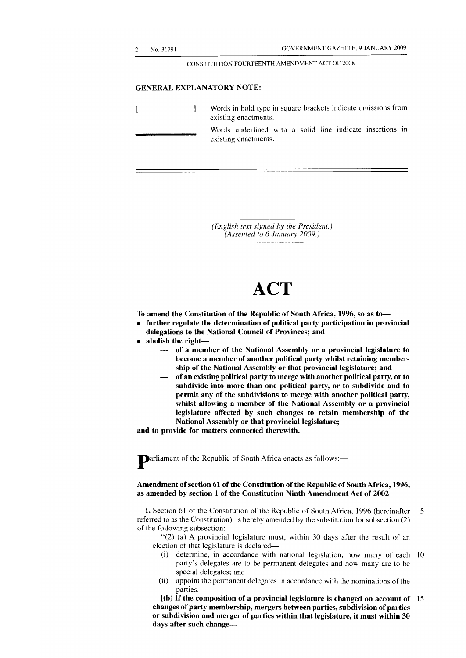$\overline{1}$ 

#### CONSTITUTION FOURTEENTH AMENDMENT ACT OF 2008

#### **GENERAL EXPLANATORY NOTE:**

] Words in bold type in square brackets indicate omissions from existing enactments. Words underlined with a solid line indicate insertions in existing enactments.

> *(English text signed by the President.) (Assented to 6 January 2009.)*

## **ACT**

**To amend the Constitution of the Republic of South Africa, 1996, so as to—** 

- **further regulate the determination of political party participation in provincial delegations to the National Council of Provinces; and**
- **abolish the right—** 
	- **of a member of the National Assembly or a provincial legislature to become a member of another political party whilst retaining membership of the National Assembly or that provincial legislature; and**
	- **of an existing political party to merge with another political party, or to subdivide into more than one political party, or to subdivide and to permit any of the subdivisions to merge with another political party, whilst allowing a member of the National Assembly or a provincial legislature affected by such changes to retain membership of the National Assembly or that provincial legislature;**

**and to provide for matters connected therewith.** 

**Parliament of the Republic of South Africa enacts as follows:**-

#### **Amendment of section 61 of the Constitution of the Republic of South Africa, 1996, as amended by section 1 of the Constitution Ninth Amendment Act of 2002**

**1.** Section 61 of the Constitution of the Republic of South Africa, 1996 (hereinafter 5 referred to as the Constitution), is hereby amended by the substitution for subsection (2) of the following subsection:

"(2) (a) A provincial legislature must, within 30 days after the result of an election of that legislature is declared—

- (i) determine, in accordance with national legislation, how many of each 10 party's delegates are to be permanent delegates and how many are to be special delegates; and
- (ii) appoint the permanent delegates in accordance with the nominations of the parties.

**[(b) If the composition of a provincial legislature is changed on account of** 15 **changes of party membership, mergers between parties, subdivision of parties or subdivision and merger of parties within that legislature, it must within 30 days after such change—**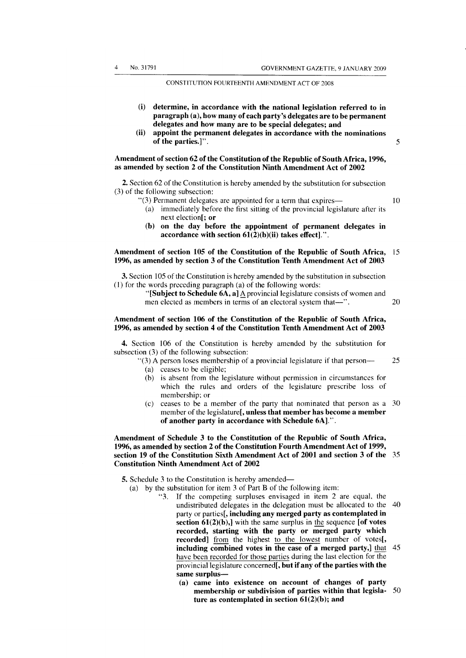#### CONSTITUTION FOURTEENTH AMENDMENT ACT OF 2008

- **(i) determine, in accordance with the national legislation referred to in paragraph (a), how many of each party's delegates are to be permanent delegates and how many are to be special delegates; and**
- **(ii) appoint the permanent delegates in accordance with the nominations of the parties.]".** 5

#### **Amendment of section 62 of the Constitution of the Republic of South Africa, 1996, as amended by section 2 of the Constitution Ninth Amendment Act of 2002**

**2.** Section 62 of the Constitution is hereby amended by the substitution for subsection (3) of the following subsection:

- "(3) Permanent delegates are appointed for a term that expires— 10
	- (a) immediately before the first sitting of the provincial legislature after its next election[; **or**
	- **(b) on the day before the appointment of permanent delegates in accordance with section 61(2)(b)(ii) takes effect].'.**

#### **Amendment of section 105 of the Constitution of the Republic of South Africa,** 15 **1996, as amended by section 3 of the Constitution Tenth Amendment Act of 2003**

**3.** Section 105 of the Constitution is hereby amended by the substitution in subsection (1) for the words preceding paragraph (a) of the following words:

> **"[Subject to Schedule 6A, a]** A provincial legislature consists of women and men elected as members in terms of an electoral system that— $\ddot{ }$  20

#### **Amendment of section 106 of the Constitution of the Republic of South Africa, 1996, as amended by section 4 of the Constitution Tenth Amendment Act of 2003**

**4.** Section 106 of the Constitution is hereby amended by the substitution for subsection (3) of the following subsection:

 $\degree$ (3) A person loses membership of a provincial legislature if that person— 25 (a) ceases to be eligible;

- (b) is absent from the legislature without permission in circumstances for which the rules and orders of the legislature prescribe loss of membership; or
- (c) ceases to be a member of the party that nominated that person as a 30 member of the legislature<sup>[</sup>, unless that member has become a member of another party in accordance with Schedule 6A].".

#### **Amendment of Schedule 3 to the Constitution of the Republic of South Africa, 1996, as amended by section 2 of the Constitution Fourth Amendment Act of 1999, section 19 of the Constitution Sixth Amendment Act of 2001 and section 3 of the** 35 **Constitution Ninth Amendment Act of 2002**

- **5.** Schedule 3 to the Constitution is hereby amended—
	- (a) by the substitution for item 3 of Part B of the following item:
		- ' k 3 . If the competing surpluses envisaged in item 2 are equal, the undistributed delegates in the delegation must be allocated to the 40 party or parties[, **including any merged party as contemplated in section 61(2)(b),]** with the same surplus in the sequence **[of votes recorded, starting with the party or merged party which recorded]** from the highest to the lowest number of votes[, **including combined votes in the case of a merged party,]** that 45 have been recorded for those parties during the last election for the provincial legislature concerned<sup>[</sup>, but if any of the parties with the **same surplus—** 
			- **(a) came into existence on account of changes of party membership or subdivision of parties within that legisla-** 50 **ture as contemplated in section 61(2)(b); and**